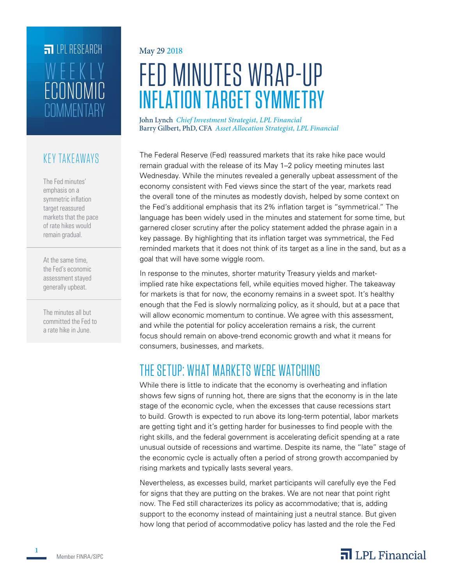# **FILLE** LPL RESEARCH **COMMENTARY** ECONOMIC WEEKLY

### KEY TAKEAWAYS

The Fed minutes' emphasis on a symmetric inflation target reassured markets that the pace of rate hikes would remain gradual.

At the same time, the Fed's economic assessment stayed generally upbeat.

The minutes all but committed the Fed to a rate hike in June.

#### May 29 2018

# FED MINUTES WRAP-UP INFLATION TARGET SYMMETRY

John Lynch *Chief Investment Strategist, LPL Financial* Barry Gilbert, PhD, CFA *Asset Allocation Strategist, LPL Financial*

The Federal Reserve (Fed) reassured markets that its rake hike pace would remain gradual with the release of its May 1–2 policy meeting minutes last Wednesday. While the minutes revealed a generally upbeat assessment of the economy consistent with Fed views since the start of the year, markets read the overall tone of the minutes as modestly dovish, helped by some context on the Fed's additional emphasis that its 2% inflation target is "symmetrical." The language has been widely used in the minutes and statement for some time, but garnered closer scrutiny after the policy statement added the phrase again in a key passage. By highlighting that its inflation target was symmetrical, the Fed reminded markets that it does not think of its target as a line in the sand, but as a goal that will have some wiggle room.

In response to the minutes, shorter maturity Treasury yields and marketimplied rate hike expectations fell, while equities moved higher. The takeaway for markets is that for now, the economy remains in a sweet spot. It's healthy enough that the Fed is slowly normalizing policy, as it should, but at a pace that will allow economic momentum to continue. We agree with this assessment, and while the potential for policy acceleration remains a risk, the current focus should remain on above-trend economic growth and what it means for consumers, businesses, and markets.

## THE SETUP: WHAT MARKETS WERE WATCHING

While there is little to indicate that the economy is overheating and inflation shows few signs of running hot, there are signs that the economy is in the late stage of the economic cycle, when the excesses that cause recessions start to build. Growth is expected to run above its long-term potential, labor markets are getting tight and it's getting harder for businesses to find people with the right skills, and the federal government is accelerating deficit spending at a rate unusual outside of recessions and wartime. Despite its name, the "late" stage of the economic cycle is actually often a period of strong growth accompanied by rising markets and typically lasts several years.

Nevertheless, as excesses build, market participants will carefully eye the Fed for signs that they are putting on the brakes. We are not near that point right now. The Fed still characterizes its policy as accommodative; that is, adding support to the economy instead of maintaining just a neutral stance. But given how long that period of accommodative policy has lasted and the role the Fed



**1**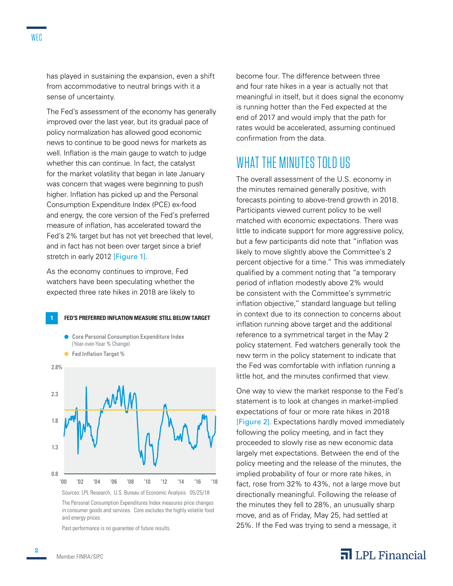has played in sustaining the expansion, even a shift from accommodative to neutral brings with it a sense of uncertainty.

The Fed's assessment of the economy has generally improved over the last year, but its gradual pace of policy normalization has allowed good economic news to continue to be good news for markets as well. Inflation is the main gauge to watch to judge whether this can continue. In fact, the catalyst for the market volatility that began in late January was concern that wages were beginning to push higher. Inflation has picked up and the Personal Consumption Expenditure Index (PCE) ex-food and energy, the core version of the Fed's preferred measure of inflation, has accelerated toward the Fed's 2% target but has not yet breeched that level, and in fact has not been over target since a brief stretch in early 2012 [Figure 1].

As the economy continues to improve, Fed watchers have been speculating whether the expected three rate hikes in 2018 are likely to

**1 FED'S PREFERRED INFLATION MEASURE STILL BELOW TARGET**



The Personal Consumption Expenditures Index measures price changes in consumer goods and services. Core excludes the highly volatile food and energy prices.

Past performance is no guarantee of future results.

become four. The difference between three and four rate hikes in a year is actually not that meaningful in itself, but it does signal the economy is running hotter than the Fed expected at the end of 2017 and would imply that the path for rates would be accelerated, assuming continued confirmation from the data.

## WHAT THE MINUTES TOLD US

The overall assessment of the U.S. economy in the minutes remained generally positive, with forecasts pointing to above-trend growth in 2018. Participants viewed current policy to be well matched with economic expectations. There was little to indicate support for more aggressive policy, but a few participants did note that "inflation was likely to move slightly above the Committee's 2 percent objective for a time." This was immediately qualified by a comment noting that "a temporary period of inflation modestly above 2% would be consistent with the Committee's symmetric inflation objective," standard language but telling in context due to its connection to concerns about inflation running above target and the additional reference to a symmetrical target in the May 2 policy statement. Fed watchers generally took the new term in the policy statement to indicate that the Fed was comfortable with inflation running a little hot, and the minutes confirmed that view.

One way to view the market response to the Fed's statement is to look at changes in market-implied expectations of four or more rate hikes in 2018 [Figure 2]. Expectations hardly moved immediately following the policy meeting, and in fact they proceeded to slowly rise as new economic data largely met expectations. Between the end of the policy meeting and the release of the minutes, the implied probability of four or more rate hikes, in fact, rose from 32% to 43%, not a large move but directionally meaningful. Following the release of the minutes they fell to 28%, an unusually sharp move, and as of Friday, May 25, had settled at 25%. If the Fed was trying to send a message, it

#### $\overline{\mathbf{a}}$  LPL Financial

**2**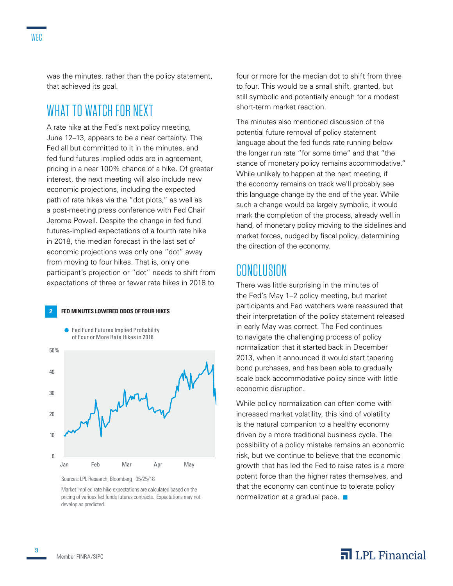was the minutes, rather than the policy statement, that achieved its goal.

## WHAT TO WATCH FOR NEXT

A rate hike at the Fed's next policy meeting, June 12–13, appears to be a near certainty. The Fed all but committed to it in the minutes, and fed fund futures implied odds are in agreement, pricing in a near 100% chance of a hike. Of greater interest, the next meeting will also include new economic projections, including the expected path of rate hikes via the "dot plots," as well as a post-meeting press conference with Fed Chair Jerome Powell. Despite the change in fed fund futures-implied expectations of a fourth rate hike in 2018, the median forecast in the last set of economic projections was only one "dot" away from moving to four hikes. That is, only one participant's projection or "dot" needs to shift from expectations of three or fewer rate hikes in 2018 to

#### **2 FED MINUTES LOWERED ODDS OF FOUR HIKES**



Sources: LPL Research, Bloomberg 05/25/18

Market implied rate hike expectations are calculated based on the pricing of various fed funds futures contracts. Expectations may not develop as predicted.

four or more for the median dot to shift from three to four. This would be a small shift, granted, but still symbolic and potentially enough for a modest short-term market reaction.

The minutes also mentioned discussion of the potential future removal of policy statement language about the fed funds rate running below the longer run rate "for some time" and that "the stance of monetary policy remains accommodative." While unlikely to happen at the next meeting, if the economy remains on track we'll probably see this language change by the end of the year. While such a change would be largely symbolic, it would mark the completion of the process, already well in hand, of monetary policy moving to the sidelines and market forces, nudged by fiscal policy, determining the direction of the economy.

#### CONCLUSION

There was little surprising in the minutes of the Fed's May 1–2 policy meeting, but market participants and Fed watchers were reassured that their interpretation of the policy statement released in early May was correct. The Fed continues to navigate the challenging process of policy normalization that it started back in December 2013, when it announced it would start tapering bond purchases, and has been able to gradually scale back accommodative policy since with little economic disruption.

While policy normalization can often come with increased market volatility, this kind of volatility is the natural companion to a healthy economy driven by a more traditional business cycle. The possibility of a policy mistake remains an economic risk, but we continue to believe that the economic growth that has led the Fed to raise rates is a more potent force than the higher rates themselves, and that the economy can continue to tolerate policy normalization at a gradual pace.  $\blacksquare$ 

#### $\overline{\mathbf{a}}$  LPL Financial